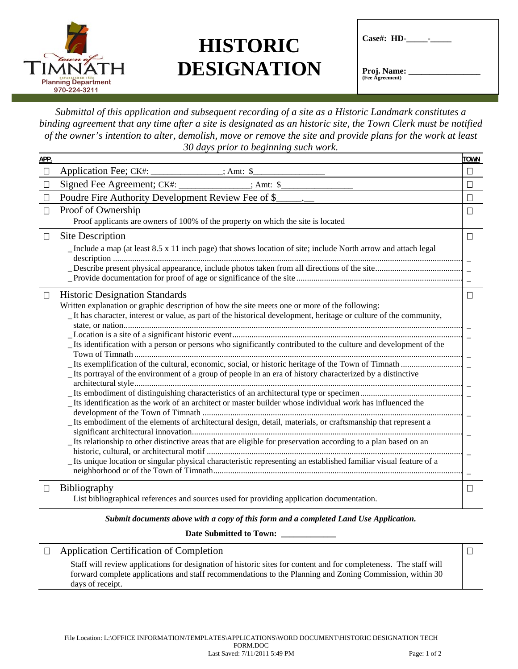

## **HISTORIC DESIGNATION**

| $\text{Case}\#$ : HD-                 |  |
|---------------------------------------|--|
| <b>Proj. Name:</b><br>(Fee Agreement) |  |

*Submittal of this application and subsequent recording of a site as a Historic Landmark constitutes a binding agreement that any time after a site is designated as an historic site, the Town Clerk must be notified of the owner's intention to alter, demolish, move or remove the site and provide plans for the work at least 30 days prior to beginning such work.*

| $\Box$ | Application Fee; CK#: ______________; Amt: \$                                                                                                                                                                       | $\Box$   |
|--------|---------------------------------------------------------------------------------------------------------------------------------------------------------------------------------------------------------------------|----------|
| $\Box$ | $: Amt:$ \$                                                                                                                                                                                                         | $\Box$   |
| $\Box$ | Poudre Fire Authority Development Review Fee of \$                                                                                                                                                                  | $\Box$   |
| $\Box$ | Proof of Ownership                                                                                                                                                                                                  | П        |
|        | Proof applicants are owners of 100% of the property on which the site is located                                                                                                                                    |          |
| П      | Site Description                                                                                                                                                                                                    | $\Box$   |
|        | _Include a map (at least 8.5 x 11 inch page) that shows location of site; include North arrow and attach legal                                                                                                      |          |
|        |                                                                                                                                                                                                                     | $\equiv$ |
| $\Box$ | <b>Historic Designation Standards</b>                                                                                                                                                                               | $\Box$   |
|        | Written explanation or graphic description of how the site meets one or more of the following:<br>It has character, interest or value, as part of the historical development, heritage or culture of the community, |          |
|        | _Its identification with a person or persons who significantly contributed to the culture and development of the                                                                                                    |          |
|        | Its portrayal of the environment of a group of people in an era of history characterized by a distinctive                                                                                                           |          |
|        | Its identification as the work of an architect or master builder whose individual work has influenced the                                                                                                           |          |
|        | Its embodiment of the elements of architectural design, detail, materials, or craftsmanship that represent a                                                                                                        |          |
|        | _Its relationship to other distinctive areas that are eligible for preservation according to a plan based on an                                                                                                     |          |
|        | _Its unique location or singular physical characteristic representing an established familiar visual feature of a                                                                                                   |          |
| $\Box$ | Bibliography<br>List bibliographical references and sources used for providing application documentation.                                                                                                           | П        |

*Submit documents above with a copy of this form and a completed Land Use Application.* 

**Date Submitted to Town: \_\_\_\_\_\_\_\_\_\_\_\_\_** 

Application Certification of Completion

Staff will review applications for designation of historic sites for content and for completeness. The staff will forward complete applications and staff recommendations to the Planning and Zoning Commission, within 30 days of receipt.